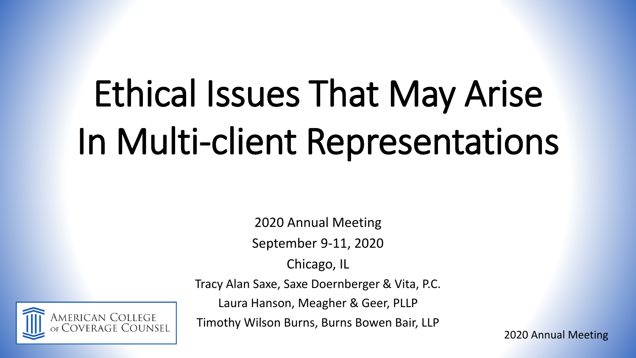# Ethical Issues That May Arise In Multi-client Representations

2020 Annual Meeting

September 9-11, 2020

Chicago, IL

American College<br><sub>of</sub> Coverage Counsel

Tracy Alan Saxe, Saxe Doernberger & Vita, P.C.

Laura Hanson, Meagher & Geer, PLLP

Timothy Wilson Burns, Burns Bowen Bair, LLP

2020 Annual Meeting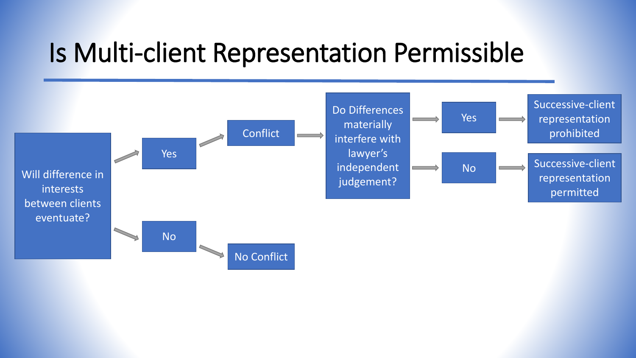#### Is Multi-client Representation Permissible

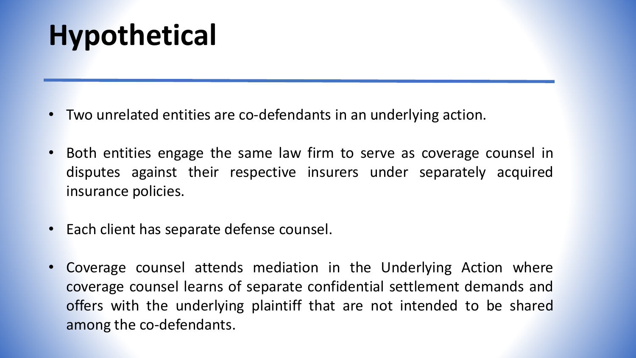# **Hypothetical**

- Two unrelated entities are co-defendants in an underlying action.
- Both entities engage the same law firm to serve as coverage counsel in disputes against their respective insurers under separately acquired insurance policies.
- Each client has separate defense counsel.
- Coverage counsel attends mediation in the Underlying Action where coverage counsel learns of separate confidential settlement demands and offers with the underlying plaintiff that are not intended to be shared among the co-defendants.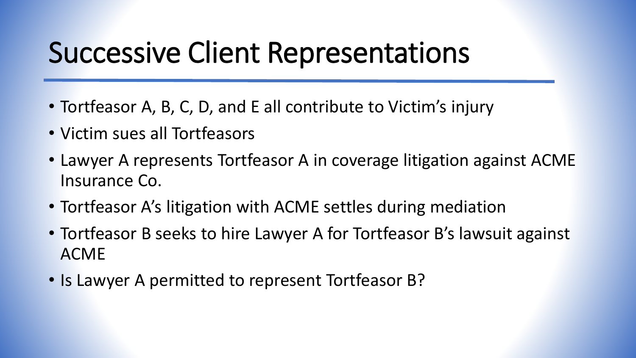### Successive Client Representations

- Tortfeasor A, B, C, D, and E all contribute to Victim's injury
- Victim sues all Tortfeasors
- Lawyer A represents Tortfeasor A in coverage litigation against ACME Insurance Co.
- Tortfeasor A's litigation with ACME settles during mediation
- Tortfeasor B seeks to hire Lawyer A for Tortfeasor B's lawsuit against ACME
- Is Lawyer A permitted to represent Tortfeasor B?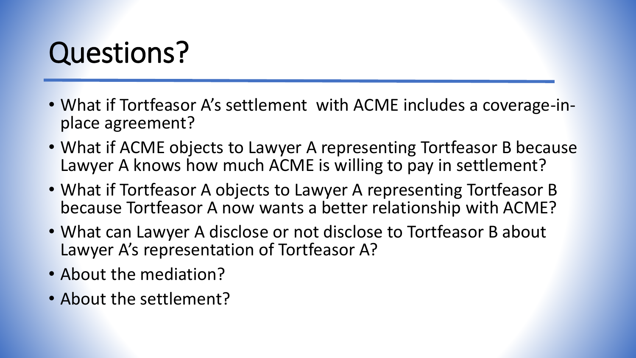# Questions?

- What if Tortfeasor A's settlement with ACME includes a coverage-inplace agreement?
- What if ACME objects to Lawyer A representing Tortfeasor B because Lawyer A knows how much ACME is willing to pay in settlement?
- What if Tortfeasor A objects to Lawyer A representing Tortfeasor B because Tortfeasor A now wants a better relationship with ACME?
- What can Lawyer A disclose or not disclose to Tortfeasor B about Lawyer A's representation of Tortfeasor A?
- About the mediation?
- About the settlement?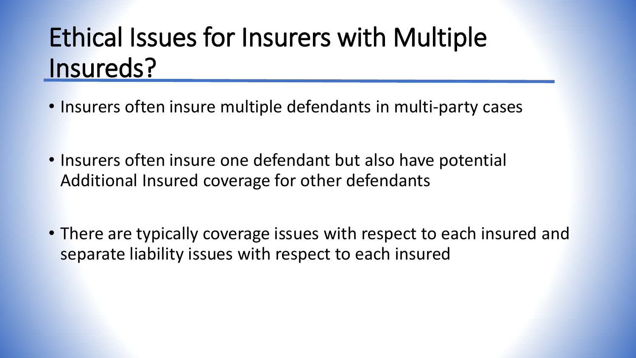#### Ethical Issues for Insurers with Multiple Insureds?

- Insurers often insure multiple defendants in multi-party cases
- Insurers often insure one defendant but also have potential Additional Insured coverage for other defendants
- There are typically coverage issues with respect to each insured and separate liability issues with respect to each insured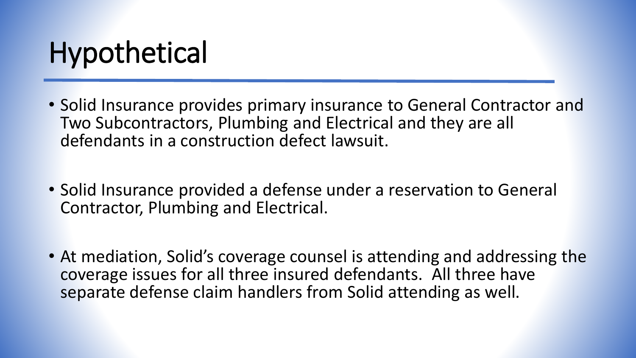# **Hypothetical**

- Solid Insurance provides primary insurance to General Contractor and Two Subcontractors, Plumbing and Electrical and they are all defendants in a construction defect lawsuit.
- Solid Insurance provided a defense under a reservation to General Contractor, Plumbing and Electrical.
- At mediation, Solid's coverage counsel is attending and addressing the coverage issues for all three insured defendants. All three have separate defense claim handlers from Solid attending as well.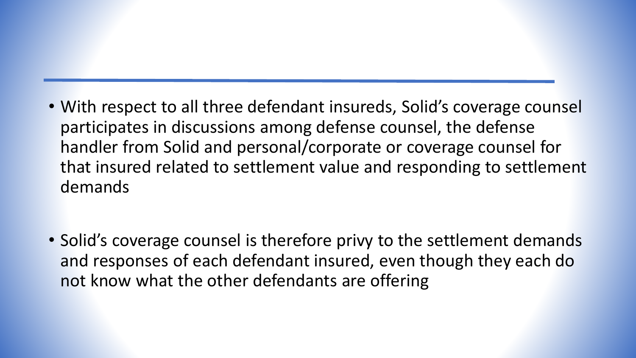- With respect to all three defendant insureds, Solid's coverage counsel participates in discussions among defense counsel, the defense handler from Solid and personal/corporate or coverage counsel for that insured related to settlement value and responding to settlement demands
- Solid's coverage counsel is therefore privy to the settlement demands and responses of each defendant insured, even though they each do not know what the other defendants are offering